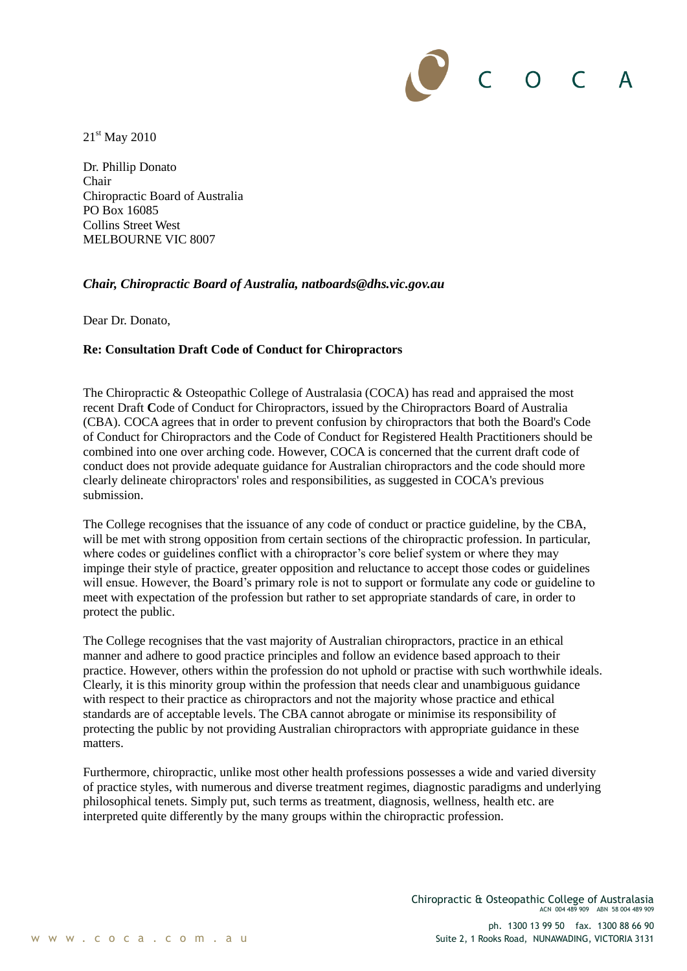$C$  O C

21st May 2010

Dr. Phillip Donato Chair Chiropractic Board of Australia PO Box 16085 Collins Street West MELBOURNE VIC 8007

# *Chair, Chiropractic Board of Australia, natboards@dhs.vic.gov.au*

Dear Dr. Donato,

# **Re: Consultation Draft Code of Conduct for Chiropractors**

The Chiropractic & Osteopathic College of Australasia (COCA) has read and appraised the most recent Draft **C**ode of Conduct for Chiropractors, issued by the Chiropractors Board of Australia (CBA). COCA agrees that in order to prevent confusion by chiropractors that both the Board's Code of Conduct for Chiropractors and the Code of Conduct for Registered Health Practitioners should be combined into one over arching code. However, COCA is concerned that the current draft code of conduct does not provide adequate guidance for Australian chiropractors and the code should more clearly delineate chiropractors' roles and responsibilities, as suggested in COCA's previous submission.

The College recognises that the issuance of any code of conduct or practice guideline, by the CBA, will be met with strong opposition from certain sections of the chiropractic profession. In particular, where codes or guidelines conflict with a chiropractor's core belief system or where they may impinge their style of practice, greater opposition and reluctance to accept those codes or guidelines will ensue. However, the Board's primary role is not to support or formulate any code or guideline to meet with expectation of the profession but rather to set appropriate standards of care, in order to protect the public.

The College recognises that the vast majority of Australian chiropractors, practice in an ethical manner and adhere to good practice principles and follow an evidence based approach to their practice. However, others within the profession do not uphold or practise with such worthwhile ideals. Clearly, it is this minority group within the profession that needs clear and unambiguous guidance with respect to their practice as chiropractors and not the majority whose practice and ethical standards are of acceptable levels. The CBA cannot abrogate or minimise its responsibility of protecting the public by not providing Australian chiropractors with appropriate guidance in these matters.

Furthermore, chiropractic, unlike most other health professions possesses a wide and varied diversity of practice styles, with numerous and diverse treatment regimes, diagnostic paradigms and underlying philosophical tenets. Simply put, such terms as treatment, diagnosis, wellness, health etc. are interpreted quite differently by the many groups within the chiropractic profession.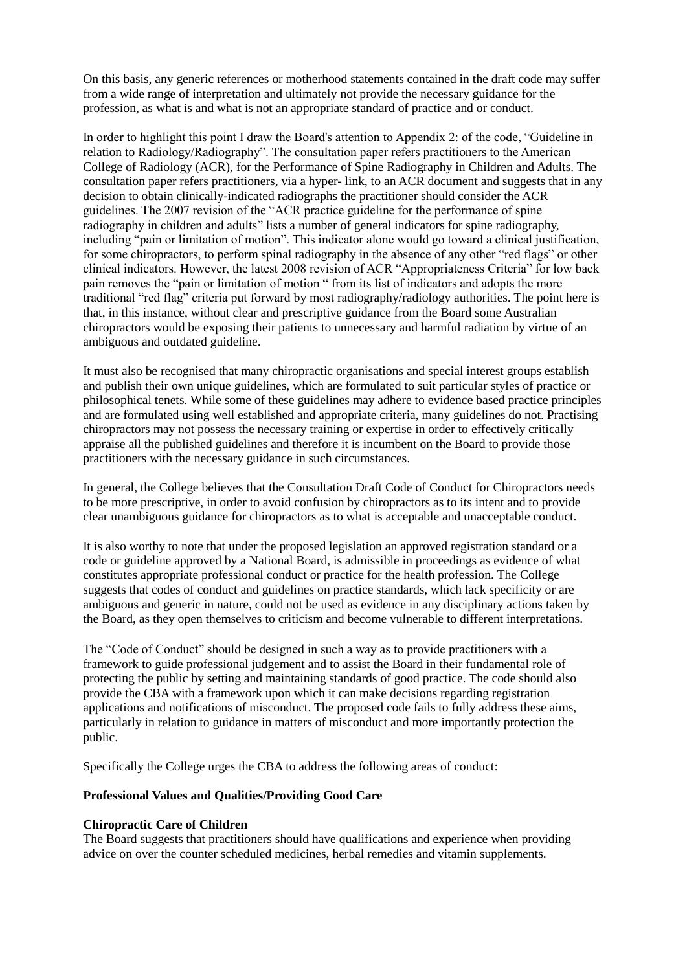On this basis, any generic references or motherhood statements contained in the draft code may suffer from a wide range of interpretation and ultimately not provide the necessary guidance for the profession, as what is and what is not an appropriate standard of practice and or conduct.

In order to highlight this point I draw the Board's attention to Appendix 2: of the code, "Guideline in relation to Radiology/Radiography". The consultation paper refers practitioners to the American College of Radiology (ACR), for the Performance of Spine Radiography in Children and Adults. The consultation paper refers practitioners, via a hyper- link, to an ACR document and suggests that in any decision to obtain clinically-indicated radiographs the practitioner should consider the ACR guidelines. The 2007 revision of the "ACR practice guideline for the performance of spine radiography in children and adults" lists a number of general indicators for spine radiography, including "pain or limitation of motion". This indicator alone would go toward a clinical justification, for some chiropractors, to perform spinal radiography in the absence of any other "red flags" or other clinical indicators. However, the latest 2008 revision of ACR "Appropriateness Criteria" for low back pain removes the "pain or limitation of motion " from its list of indicators and adopts the more traditional "red flag" criteria put forward by most radiography/radiology authorities. The point here is that, in this instance, without clear and prescriptive guidance from the Board some Australian chiropractors would be exposing their patients to unnecessary and harmful radiation by virtue of an ambiguous and outdated guideline.

It must also be recognised that many chiropractic organisations and special interest groups establish and publish their own unique guidelines, which are formulated to suit particular styles of practice or philosophical tenets. While some of these guidelines may adhere to evidence based practice principles and are formulated using well established and appropriate criteria, many guidelines do not. Practising chiropractors may not possess the necessary training or expertise in order to effectively critically appraise all the published guidelines and therefore it is incumbent on the Board to provide those practitioners with the necessary guidance in such circumstances.

In general, the College believes that the Consultation Draft Code of Conduct for Chiropractors needs to be more prescriptive, in order to avoid confusion by chiropractors as to its intent and to provide clear unambiguous guidance for chiropractors as to what is acceptable and unacceptable conduct.

It is also worthy to note that under the proposed legislation an approved registration standard or a code or guideline approved by a National Board, is admissible in proceedings as evidence of what constitutes appropriate professional conduct or practice for the health profession. The College suggests that codes of conduct and guidelines on practice standards, which lack specificity or are ambiguous and generic in nature, could not be used as evidence in any disciplinary actions taken by the Board, as they open themselves to criticism and become vulnerable to different interpretations.

The "Code of Conduct" should be designed in such a way as to provide practitioners with a framework to guide professional judgement and to assist the Board in their fundamental role of protecting the public by setting and maintaining standards of good practice. The code should also provide the CBA with a framework upon which it can make decisions regarding registration applications and notifications of misconduct. The proposed code fails to fully address these aims, particularly in relation to guidance in matters of misconduct and more importantly protection the public.

Specifically the College urges the CBA to address the following areas of conduct:

# **Professional Values and Qualities/Providing Good Care**

# **Chiropractic Care of Children**

The Board suggests that practitioners should have qualifications and experience when providing advice on over the counter scheduled medicines, herbal remedies and vitamin supplements.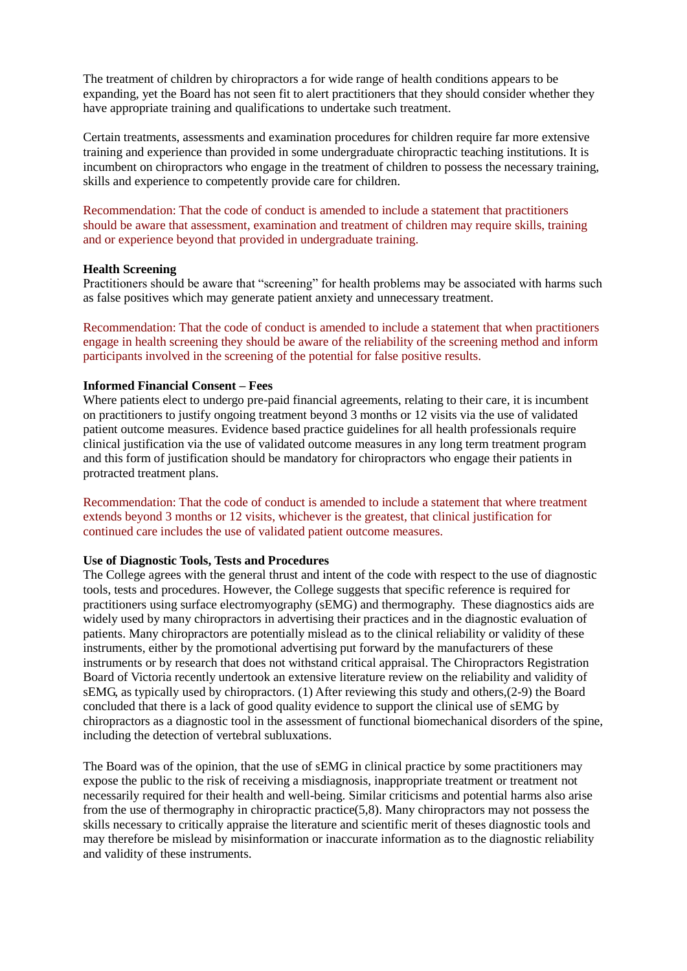The treatment of children by chiropractors a for wide range of health conditions appears to be expanding, yet the Board has not seen fit to alert practitioners that they should consider whether they have appropriate training and qualifications to undertake such treatment.

Certain treatments, assessments and examination procedures for children require far more extensive training and experience than provided in some undergraduate chiropractic teaching institutions. It is incumbent on chiropractors who engage in the treatment of children to possess the necessary training, skills and experience to competently provide care for children.

Recommendation: That the code of conduct is amended to include a statement that practitioners should be aware that assessment, examination and treatment of children may require skills, training and or experience beyond that provided in undergraduate training.

### **Health Screening**

Practitioners should be aware that "screening" for health problems may be associated with harms such as false positives which may generate patient anxiety and unnecessary treatment.

Recommendation: That the code of conduct is amended to include a statement that when practitioners engage in health screening they should be aware of the reliability of the screening method and inform participants involved in the screening of the potential for false positive results.

### **Informed Financial Consent – Fees**

Where patients elect to undergo pre-paid financial agreements, relating to their care, it is incumbent on practitioners to justify ongoing treatment beyond 3 months or 12 visits via the use of validated patient outcome measures. Evidence based practice guidelines for all health professionals require clinical justification via the use of validated outcome measures in any long term treatment program and this form of justification should be mandatory for chiropractors who engage their patients in protracted treatment plans.

Recommendation: That the code of conduct is amended to include a statement that where treatment extends beyond 3 months or 12 visits, whichever is the greatest, that clinical justification for continued care includes the use of validated patient outcome measures.

### **Use of Diagnostic Tools, Tests and Procedures**

The College agrees with the general thrust and intent of the code with respect to the use of diagnostic tools, tests and procedures. However, the College suggests that specific reference is required for practitioners using surface electromyography (sEMG) and thermography. These diagnostics aids are widely used by many chiropractors in advertising their practices and in the diagnostic evaluation of patients. Many chiropractors are potentially mislead as to the clinical reliability or validity of these instruments, either by the promotional advertising put forward by the manufacturers of these instruments or by research that does not withstand critical appraisal. The Chiropractors Registration Board of Victoria recently undertook an extensive literature review on the reliability and validity of sEMG, as typically used by chiropractors. (1) After reviewing this study and others,(2-9) the Board concluded that there is a lack of good quality evidence to support the clinical use of sEMG by chiropractors as a diagnostic tool in the assessment of functional biomechanical disorders of the spine, including the detection of vertebral subluxations.

The Board was of the opinion, that the use of sEMG in clinical practice by some practitioners may expose the public to the risk of receiving a misdiagnosis, inappropriate treatment or treatment not necessarily required for their health and well-being. Similar criticisms and potential harms also arise from the use of thermography in chiropractic practice(5,8). Many chiropractors may not possess the skills necessary to critically appraise the literature and scientific merit of theses diagnostic tools and may therefore be mislead by misinformation or inaccurate information as to the diagnostic reliability and validity of these instruments.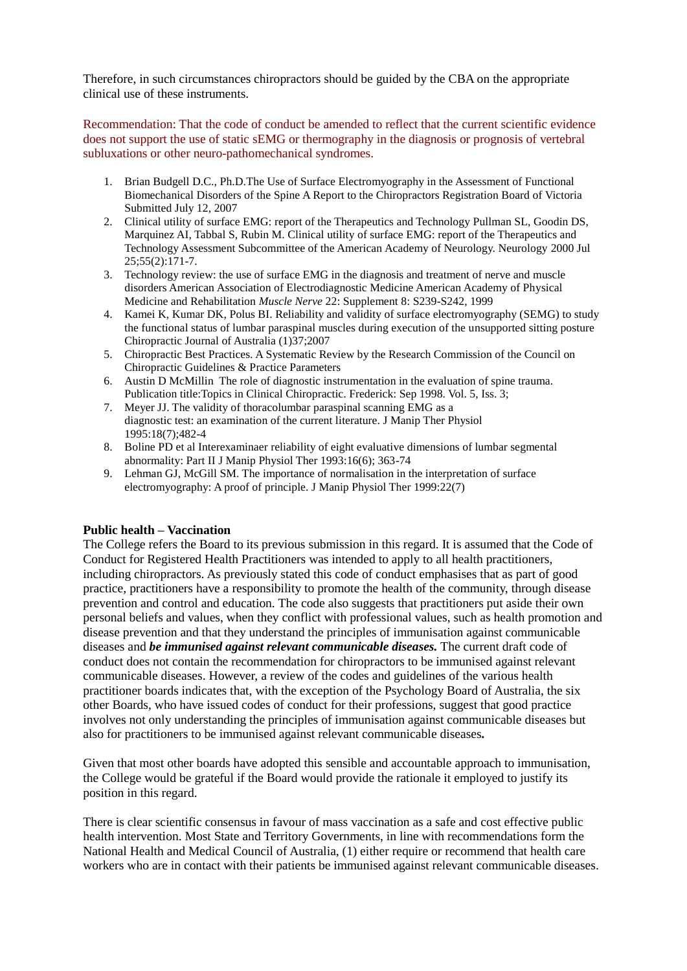Therefore, in such circumstances chiropractors should be guided by the CBA on the appropriate clinical use of these instruments.

Recommendation: That the code of conduct be amended to reflect that the current scientific evidence does not support the use of static sEMG or thermography in the diagnosis or prognosis of vertebral subluxations or other neuro-pathomechanical syndromes.

- 1. Brian Budgell D.C., Ph.D.The Use of Surface Electromyography in the Assessment of Functional Biomechanical Disorders of the Spine A Report to the Chiropractors Registration Board of Victoria Submitted July 12, 2007
- 2. Clinical utility of surface EMG: report of the Therapeutics and Technology Pullman SL, Goodin DS, Marquinez AI, Tabbal S, Rubin M. Clinical utility of surface EMG: report of the Therapeutics and Technology Assessment Subcommittee of the American Academy of Neurology. Neurology 2000 Jul 25;55(2):171-7.
- 3. Technology review: the use of surface EMG in the diagnosis and treatment of nerve and muscle disorders American Association of Electrodiagnostic Medicine American Academy of Physical Medicine and Rehabilitation *Muscle Nerve* 22: Supplement 8: S239-S242, 1999
- 4. Kamei K, Kumar DK, Polus BI. Reliability and validity of surface electromyography (SEMG) to study the functional status of lumbar paraspinal muscles during execution of the unsupported sitting posture Chiropractic Journal of Australia (1)37;2007
- 5. Chiropractic Best Practices. A Systematic Review by the Research Commission of the Council on Chiropractic Guidelines & Practice Parameters
- 6. Austin D McMillin The role of diagnostic instrumentation in the evaluation of spine trauma. Publication title:Topics in Clinical Chiropractic. Frederick: Sep 1998. Vol. 5, Iss. 3;
- 7. Meyer JJ. The validity of thoracolumbar paraspinal scanning EMG as a diagnostic test: an examination of the current literature. J Manip Ther Physiol 1995:18(7);482-4
- 8. Boline PD et al Interexaminaer reliability of eight evaluative dimensions of lumbar segmental abnormality: Part II J Manip Physiol Ther 1993:16(6); 363-74
- 9. Lehman GJ, McGill SM. The importance of normalisation in the interpretation of surface electromyography: A proof of principle. J Manip Physiol Ther 1999:22(7)

# **Public health – Vaccination**

The College refers the Board to its previous submission in this regard. It is assumed that the Code of Conduct for Registered Health Practitioners was intended to apply to all health practitioners, including chiropractors. As previously stated this code of conduct emphasises that as part of good practice, practitioners have a responsibility to promote the health of the community, through disease prevention and control and education. The code also suggests that practitioners put aside their own personal beliefs and values, when they conflict with professional values, such as health promotion and disease prevention and that they understand the principles of immunisation against communicable diseases and *be immunised against relevant communicable diseases.* The current draft code of conduct does not contain the recommendation for chiropractors to be immunised against relevant communicable diseases. However, a review of the codes and guidelines of the various health practitioner boards indicates that, with the exception of the Psychology Board of Australia, the six other Boards, who have issued codes of conduct for their professions, suggest that good practice involves not only understanding the principles of immunisation against communicable diseases but also for practitioners to be immunised against relevant communicable diseases*.* 

Given that most other boards have adopted this sensible and accountable approach to immunisation, the College would be grateful if the Board would provide the rationale it employed to justify its position in this regard.

There is clear scientific consensus in favour of mass vaccination as a safe and cost effective public health intervention. Most State and Territory Governments, in line with recommendations form the National Health and Medical Council of Australia, (1) either require or recommend that health care workers who are in contact with their patients be immunised against relevant communicable diseases.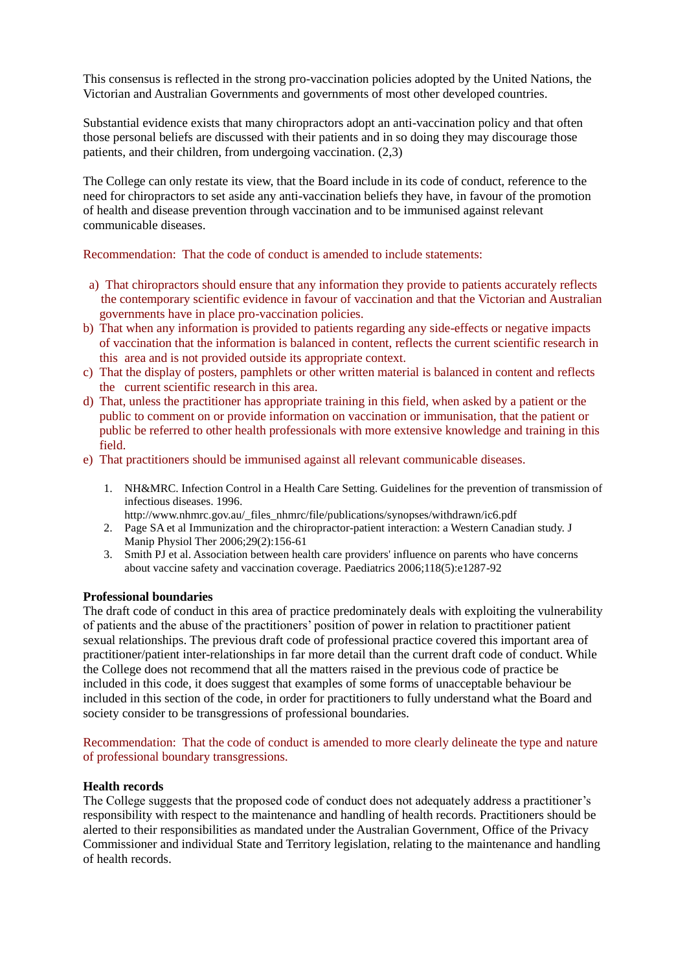This consensus is reflected in the strong pro-vaccination policies adopted by the United Nations, the Victorian and Australian Governments and governments of most other developed countries.

Substantial evidence exists that many chiropractors adopt an anti-vaccination policy and that often those personal beliefs are discussed with their patients and in so doing they may discourage those patients, and their children, from undergoing vaccination. (2,3)

The College can only restate its view, that the Board include in its code of conduct, reference to the need for chiropractors to set aside any anti-vaccination beliefs they have, in favour of the promotion of health and disease prevention through vaccination and to be immunised against relevant communicable diseases.

Recommendation: That the code of conduct is amended to include statements:

- a) That chiropractors should ensure that any information they provide to patients accurately reflects the contemporary scientific evidence in favour of vaccination and that the Victorian and Australian governments have in place pro-vaccination policies.
- b) That when any information is provided to patients regarding any side-effects or negative impacts of vaccination that the information is balanced in content, reflects the current scientific research in this area and is not provided outside its appropriate context.
- c) That the display of posters, pamphlets or other written material is balanced in content and reflects the current scientific research in this area.
- d) That, unless the practitioner has appropriate training in this field, when asked by a patient or the public to comment on or provide information on vaccination or immunisation, that the patient or public be referred to other health professionals with more extensive knowledge and training in this field.
- e) That practitioners should be immunised against all relevant communicable diseases.
	- 1. NH&MRC. Infection Control in a Health Care Setting. Guidelines for the prevention of transmission of infectious diseases. 1996.
	- http://www.nhmrc.gov.au/\_files\_nhmrc/file/publications/synopses/withdrawn/ic6.pdf
	- 2. Page SA et al Immunization and the chiropractor-patient interaction: a Western Canadian study. J Manip Physiol Ther 2006;29(2):156-61
	- 3. Smith PJ et al. Association between health care providers' influence on parents who have concerns about vaccine safety and vaccination coverage. Paediatrics 2006;118(5):e1287-92

# **Professional boundaries**

The draft code of conduct in this area of practice predominately deals with exploiting the vulnerability of patients and the abuse of the practitioners' position of power in relation to practitioner patient sexual relationships. The previous draft code of professional practice covered this important area of practitioner/patient inter-relationships in far more detail than the current draft code of conduct. While the College does not recommend that all the matters raised in the previous code of practice be included in this code, it does suggest that examples of some forms of unacceptable behaviour be included in this section of the code, in order for practitioners to fully understand what the Board and society consider to be transgressions of professional boundaries.

Recommendation: That the code of conduct is amended to more clearly delineate the type and nature of professional boundary transgressions.

# **Health records**

The College suggests that the proposed code of conduct does not adequately address a practitioner's responsibility with respect to the maintenance and handling of health records. Practitioners should be alerted to their responsibilities as mandated under the Australian Government, Office of the Privacy Commissioner and individual State and Territory legislation, relating to the maintenance and handling of health records.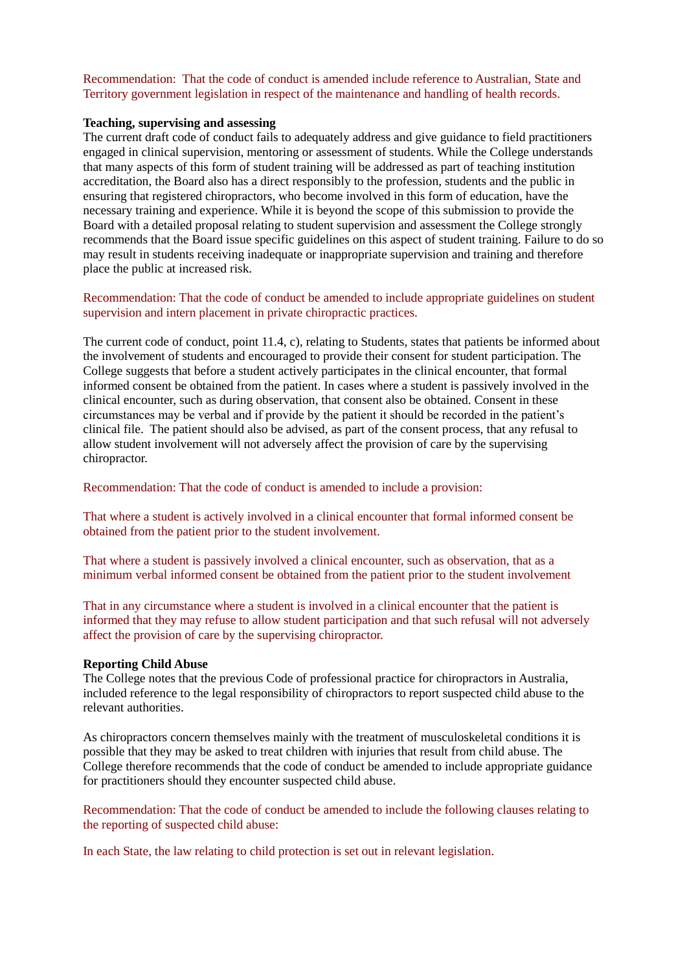Recommendation: That the code of conduct is amended include reference to Australian, State and Territory government legislation in respect of the maintenance and handling of health records.

#### **Teaching, supervising and assessing**

The current draft code of conduct fails to adequately address and give guidance to field practitioners engaged in clinical supervision, mentoring or assessment of students. While the College understands that many aspects of this form of student training will be addressed as part of teaching institution accreditation, the Board also has a direct responsibly to the profession, students and the public in ensuring that registered chiropractors, who become involved in this form of education, have the necessary training and experience. While it is beyond the scope of this submission to provide the Board with a detailed proposal relating to student supervision and assessment the College strongly recommends that the Board issue specific guidelines on this aspect of student training. Failure to do so may result in students receiving inadequate or inappropriate supervision and training and therefore place the public at increased risk.

Recommendation: That the code of conduct be amended to include appropriate guidelines on student supervision and intern placement in private chiropractic practices.

The current code of conduct, point 11.4, c), relating to Students, states that patients be informed about the involvement of students and encouraged to provide their consent for student participation. The College suggests that before a student actively participates in the clinical encounter, that formal informed consent be obtained from the patient. In cases where a student is passively involved in the clinical encounter, such as during observation, that consent also be obtained. Consent in these circumstances may be verbal and if provide by the patient it should be recorded in the patient's clinical file. The patient should also be advised, as part of the consent process, that any refusal to allow student involvement will not adversely affect the provision of care by the supervising chiropractor.

Recommendation: That the code of conduct is amended to include a provision:

That where a student is actively involved in a clinical encounter that formal informed consent be obtained from the patient prior to the student involvement.

That where a student is passively involved a clinical encounter, such as observation, that as a minimum verbal informed consent be obtained from the patient prior to the student involvement

That in any circumstance where a student is involved in a clinical encounter that the patient is informed that they may refuse to allow student participation and that such refusal will not adversely affect the provision of care by the supervising chiropractor.

#### **Reporting Child Abuse**

The College notes that the previous Code of professional practice for chiropractors in Australia, included reference to the legal responsibility of chiropractors to report suspected child abuse to the relevant authorities.

As chiropractors concern themselves mainly with the treatment of musculoskeletal conditions it is possible that they may be asked to treat children with injuries that result from child abuse. The College therefore recommends that the code of conduct be amended to include appropriate guidance for practitioners should they encounter suspected child abuse.

Recommendation: That the code of conduct be amended to include the following clauses relating to the reporting of suspected child abuse:

In each State, the law relating to child protection is set out in relevant legislation.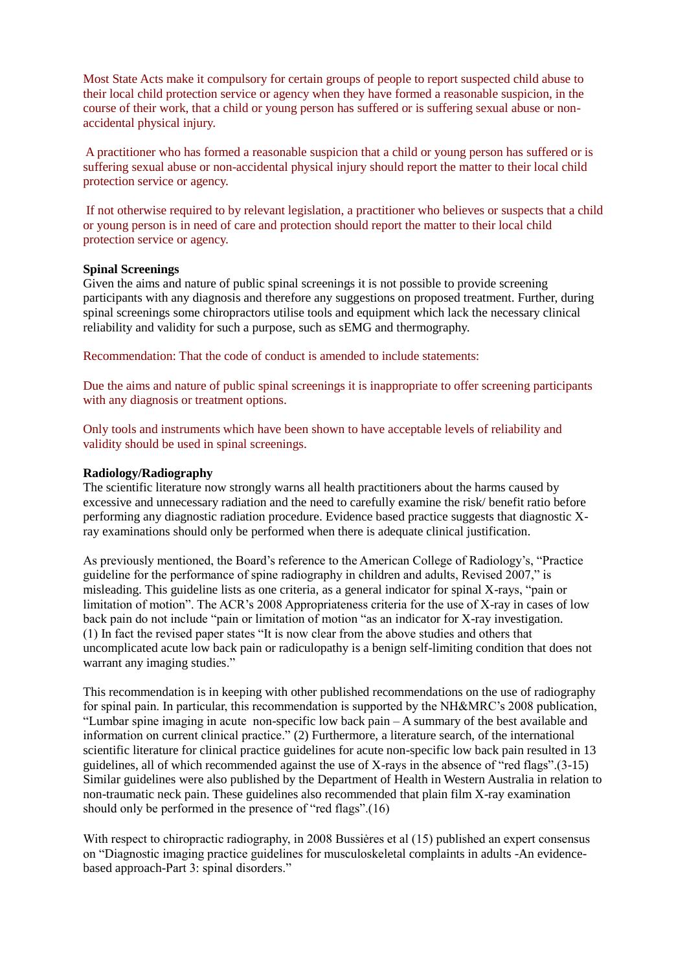Most State Acts make it compulsory for certain groups of people to report suspected child abuse to their local child protection service or agency when they have formed a reasonable suspicion, in the course of their work, that a child or young person has suffered or is suffering sexual abuse or nonaccidental physical injury.

A practitioner who has formed a reasonable suspicion that a child or young person has suffered or is suffering sexual abuse or non-accidental physical injury should report the matter to their local child protection service or agency.

If not otherwise required to by relevant legislation, a practitioner who believes or suspects that a child or young person is in need of care and protection should report the matter to their local child protection service or agency.

### **Spinal Screenings**

Given the aims and nature of public spinal screenings it is not possible to provide screening participants with any diagnosis and therefore any suggestions on proposed treatment. Further, during spinal screenings some chiropractors utilise tools and equipment which lack the necessary clinical reliability and validity for such a purpose, such as sEMG and thermography.

Recommendation: That the code of conduct is amended to include statements:

Due the aims and nature of public spinal screenings it is inappropriate to offer screening participants with any diagnosis or treatment options.

Only tools and instruments which have been shown to have acceptable levels of reliability and validity should be used in spinal screenings.

### **Radiology/Radiography**

The scientific literature now strongly warns all health practitioners about the harms caused by excessive and unnecessary radiation and the need to carefully examine the risk/ benefit ratio before performing any diagnostic radiation procedure. Evidence based practice suggests that diagnostic Xray examinations should only be performed when there is adequate clinical justification.

As previously mentioned, the Board's reference to the American College of Radiology's, "Practice guideline for the performance of spine radiography in children and adults, Revised 2007," is misleading. This guideline lists as one criteria, as a general indicator for spinal X-rays, "pain or limitation of motion". The ACR's 2008 Appropriateness criteria for the use of X-ray in cases of low back pain do not include "pain or limitation of motion "as an indicator for X-ray investigation. (1) In fact the revised paper states "It is now clear from the above studies and others that uncomplicated acute low back pain or radiculopathy is a benign self-limiting condition that does not warrant any imaging studies."

This recommendation is in keeping with other published recommendations on the use of radiography for spinal pain. In particular, this recommendation is supported by the NH&MRC's 2008 publication, "Lumbar spine imaging in acute non-specific low back pain – A summary of the best available and information on current clinical practice." (2) Furthermore, a literature search, of the international scientific literature for clinical practice guidelines for acute non-specific low back pain resulted in 13 guidelines, all of which recommended against the use of X-rays in the absence of "red flags".(3-15) Similar guidelines were also published by the Department of Health in Western Australia in relation to non-traumatic neck pain. These guidelines also recommended that plain film X-ray examination should only be performed in the presence of "red flags".(16)

With respect to chiropractic radiography, in 2008 Bussiėres et al (15) published an expert consensus on "Diagnostic imaging practice guidelines for musculoskeletal complaints in adults -An evidencebased approach-Part 3: spinal disorders."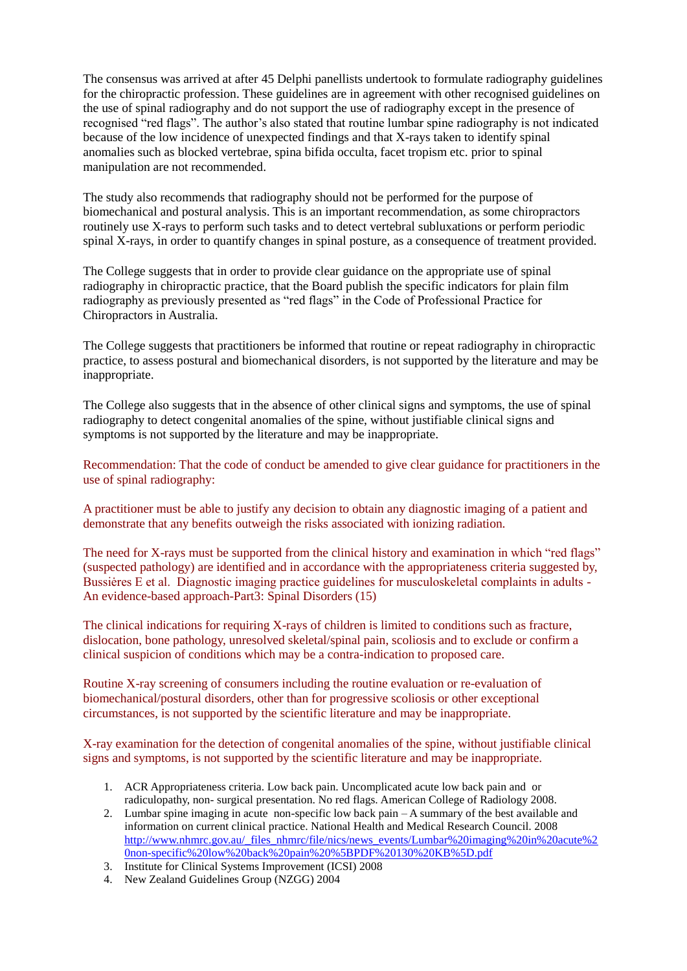The consensus was arrived at after 45 Delphi panellists undertook to formulate radiography guidelines for the chiropractic profession. These guidelines are in agreement with other recognised guidelines on the use of spinal radiography and do not support the use of radiography except in the presence of recognised "red flags". The author's also stated that routine lumbar spine radiography is not indicated because of the low incidence of unexpected findings and that X-rays taken to identify spinal anomalies such as blocked vertebrae, spina bifida occulta, facet tropism etc. prior to spinal manipulation are not recommended.

The study also recommends that radiography should not be performed for the purpose of biomechanical and postural analysis. This is an important recommendation, as some chiropractors routinely use X-rays to perform such tasks and to detect vertebral subluxations or perform periodic spinal X-rays, in order to quantify changes in spinal posture, as a consequence of treatment provided.

The College suggests that in order to provide clear guidance on the appropriate use of spinal radiography in chiropractic practice, that the Board publish the specific indicators for plain film radiography as previously presented as "red flags" in the Code of Professional Practice for Chiropractors in Australia.

The College suggests that practitioners be informed that routine or repeat radiography in chiropractic practice, to assess postural and biomechanical disorders, is not supported by the literature and may be inappropriate.

The College also suggests that in the absence of other clinical signs and symptoms, the use of spinal radiography to detect congenital anomalies of the spine, without justifiable clinical signs and symptoms is not supported by the literature and may be inappropriate.

Recommendation: That the code of conduct be amended to give clear guidance for practitioners in the use of spinal radiography:

A practitioner must be able to justify any decision to obtain any diagnostic imaging of a patient and demonstrate that any benefits outweigh the risks associated with ionizing radiation.

The need for X-rays must be supported from the clinical history and examination in which "red flags" (suspected pathology) are identified and in accordance with the appropriateness criteria suggested by, Bussiėres E et al. Diagnostic imaging practice guidelines for musculoskeletal complaints in adults - An evidence-based approach-Part3: Spinal Disorders (15)

The clinical indications for requiring X-rays of children is limited to conditions such as fracture, dislocation, bone pathology, unresolved skeletal/spinal pain, scoliosis and to exclude or confirm a clinical suspicion of conditions which may be a contra-indication to proposed care.

Routine X-ray screening of consumers including the routine evaluation or re-evaluation of biomechanical/postural disorders, other than for progressive scoliosis or other exceptional circumstances, is not supported by the scientific literature and may be inappropriate.

X-ray examination for the detection of congenital anomalies of the spine, without justifiable clinical signs and symptoms, is not supported by the scientific literature and may be inappropriate.

- 1. ACR Appropriateness criteria. Low back pain. Uncomplicated acute low back pain and or radiculopathy, non- surgical presentation. No red flags. American College of Radiology 2008.
- 2. Lumbar spine imaging in acute non-specific low back pain A summary of the best available and information on current clinical practice. National Health and Medical Research Council. 2008 [http://www.nhmrc.gov.au/\\_files\\_nhmrc/file/nics/news\\_events/Lumbar%20imaging%20in%20acute%2](http://www.nhmrc.gov.au/_files_nhmrc/file/nics/news_events/Lumbar%20imaging%20in%20acute%20non-specific%20low%20back%20pain%20%5BPDF%20130%20KB%5D.pdf) [0non-specific%20low%20back%20pain%20%5BPDF%20130%20KB%5D.pdf](http://www.nhmrc.gov.au/_files_nhmrc/file/nics/news_events/Lumbar%20imaging%20in%20acute%20non-specific%20low%20back%20pain%20%5BPDF%20130%20KB%5D.pdf)
- 3. Institute for Clinical Systems Improvement (ICSI) 2008
- 4. New Zealand Guidelines Group (NZGG) 2004